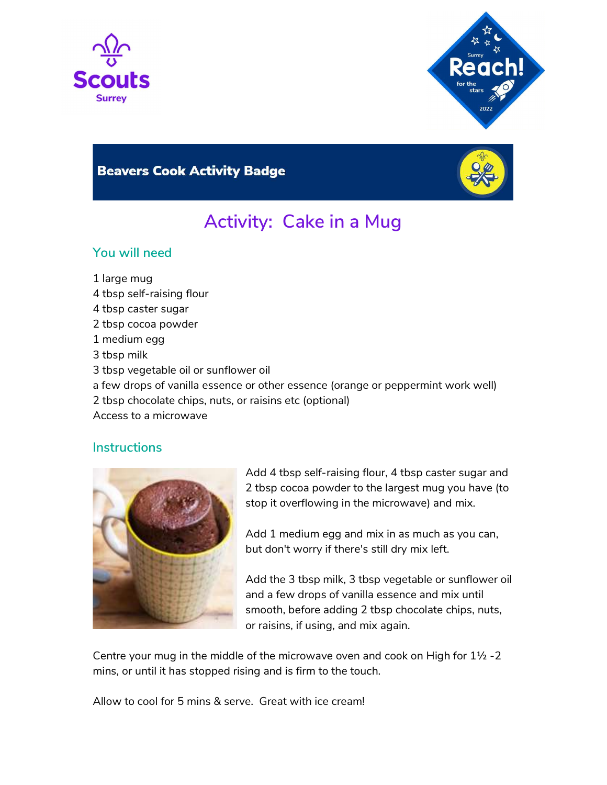



# **Beavers Cook Activity Badge**



# Activity: Cake in a Mug

### You will need

- 1 large mug
- 4 tbsp self-raising flour
- 4 tbsp caster sugar
- 2 tbsp cocoa powder
- 1 medium egg
- 3 tbsp milk
- 3 tbsp vegetable oil or sunflower oil
- a few drops of vanilla essence or other essence (orange or peppermint work well)
- 2 tbsp chocolate chips, nuts, or raisins etc (optional)
- Access to a microwave

#### **Instructions**



Add 4 tbsp self-raising flour, 4 tbsp caster sugar and 2 tbsp cocoa powder to the largest mug you have (to stop it overflowing in the microwave) and mix.

Add 1 medium egg and mix in as much as you can, but don't worry if there's still dry mix left.

Add the 3 tbsp milk, 3 tbsp vegetable or sunflower oil and a few drops of vanilla essence and mix until smooth, before adding 2 tbsp chocolate chips, nuts, or raisins, if using, and mix again.

Centre your mug in the middle of the microwave oven and cook on High for 1½ -2 mins, or until it has stopped rising and is firm to the touch.

Allow to cool for 5 mins & serve. Great with ice cream!